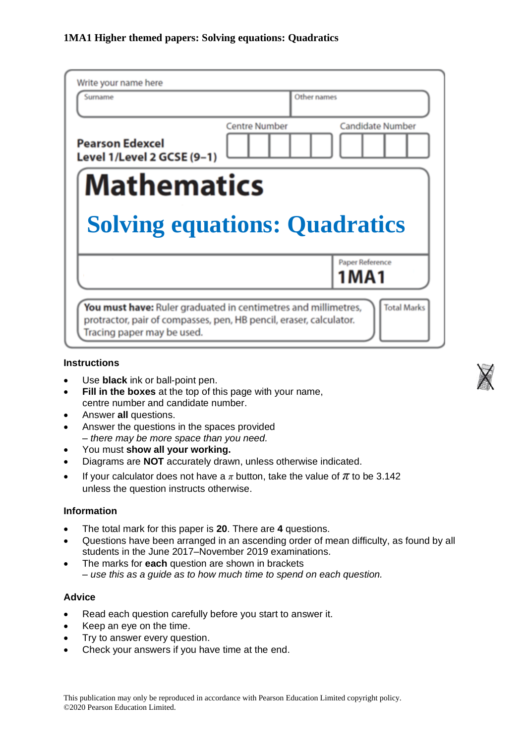| Write your name here<br>Surname                            | Other names                                     |
|------------------------------------------------------------|-------------------------------------------------|
| <b>Pearson Edexcel</b><br>Level 1/Level 2 GCSE (9-1)       | <b>Centre Number</b><br><b>Candidate Number</b> |
| <b>Mathematics</b><br><b>Solving equations: Quadratics</b> |                                                 |
|                                                            |                                                 |
|                                                            | Paper Reference<br>1 M A 1                      |

### **Instructions**

- Use **black** ink or ball-point pen.
- **Fill in the boxes** at the top of this page with your name, centre number and candidate number.
- Answer **all** questions.
- Answer the questions in the spaces provided *– there may be more space than you need.*
- You must **show all your working.**
- Diagrams are **NOT** accurately drawn, unless otherwise indicated.
- If your calculator does not have a  $\pi$  button, take the value of  $\pi$  to be 3.142 unless the question instructs otherwise.

### **Information**

- The total mark for this paper is **20**. There are **4** questions.
- Questions have been arranged in an ascending order of mean difficulty, as found by all students in the June 2017–November 2019 examinations.
- The marks for **each** question are shown in brackets *– use this as a guide as to how much time to spend on each question.*

### **Advice**

- Read each question carefully before you start to answer it.
- Keep an eye on the time.
- Try to answer every question.
- Check your answers if you have time at the end.

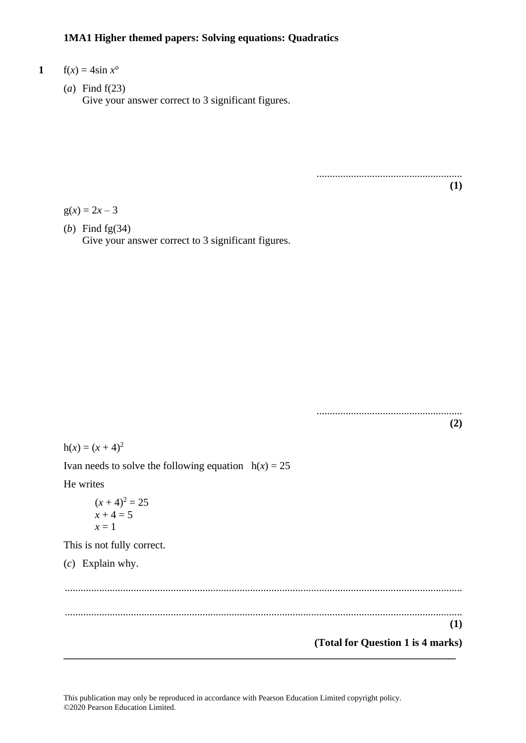### **1MA1 Higher themed papers: Solving equations: Quadratics**

- **1**  $f(x) = 4\sin x^{\circ}$ 
	- (*a*) Find f(23) Give your answer correct to 3 significant figures.

....................................................... **(1)**

.......................................................

 $g(x) = 2x - 3$ 

(*b*) Find fg(34) Give your answer correct to 3 significant figures.

**(2)**  $h(x) = (x + 4)^2$ Ivan needs to solve the following equation  $h(x) = 25$ He writes  $(x + 4)^2 = 25$  $x + 4 = 5$  $x = 1$ This is not fully correct. (*c*) Explain why. ...................................................................................................................................................... ...................................................................................................................................................... **(1) (Total for Question 1 is 4 marks) \_\_\_\_\_\_\_\_\_\_\_\_\_\_\_\_\_\_\_\_\_\_\_\_\_\_\_\_\_\_\_\_\_\_\_\_\_\_\_\_\_\_\_\_\_\_\_\_\_\_\_\_\_\_\_\_\_\_\_\_\_\_\_\_\_\_\_\_\_\_\_\_\_\_**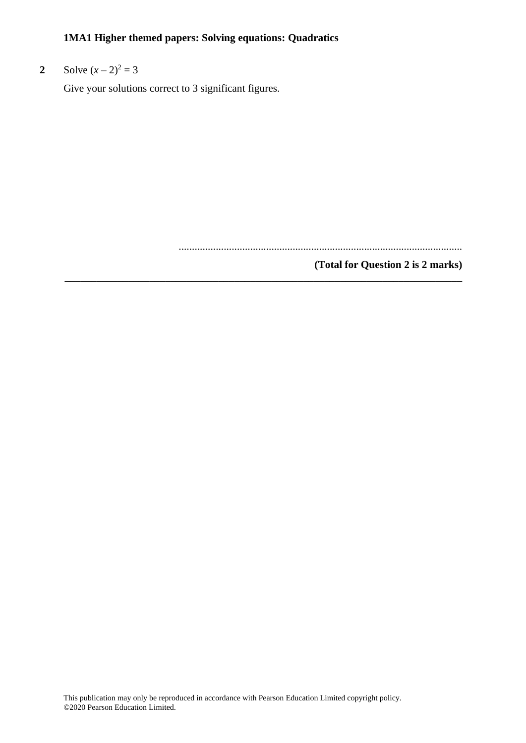## **1MA1 Higher themed papers: Solving equations: Quadratics**

# **2** Solve  $(x-2)^2 = 3$

Give your solutions correct to 3 significant figures.

...........................................................................................................

### **(Total for Question 2 is 2 marks) \_\_\_\_\_\_\_\_\_\_\_\_\_\_\_\_\_\_\_\_\_\_\_\_\_\_\_\_\_\_\_\_\_\_\_\_\_\_\_\_\_\_\_\_\_\_\_\_\_\_\_\_\_\_\_\_\_\_\_\_\_\_\_\_\_\_\_\_\_\_\_\_\_\_\_**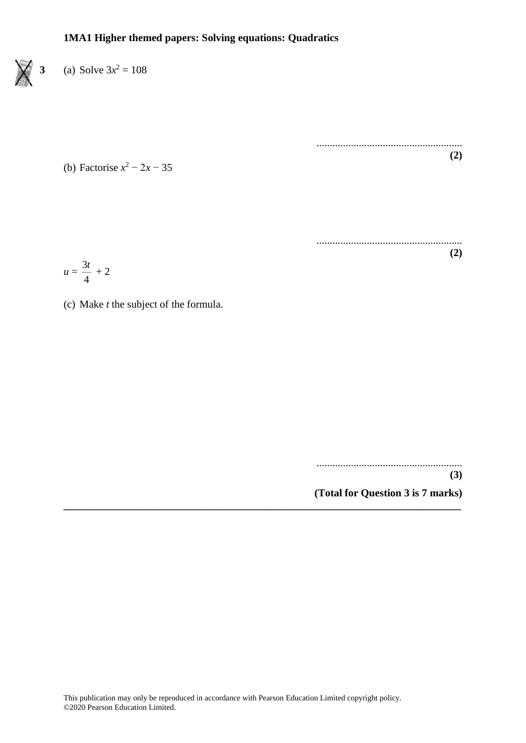

(b) Factorise *x* <sup>2</sup> − 2*x* − 35

....................................................... **(2)**

....................................................... **(2)**

$$
u=\frac{3t}{4}+2
$$

(c) Make *t* the subject of the formula.

.......................................................

**(3)**

**(Total for Question 3 is 7 marks) \_\_\_\_\_\_\_\_\_\_\_\_\_\_\_\_\_\_\_\_\_\_\_\_\_\_\_\_\_\_\_\_\_\_\_\_\_\_\_\_\_\_\_\_\_\_\_\_\_\_\_\_\_\_\_\_\_\_\_\_\_\_\_\_\_\_\_\_\_\_\_\_\_\_\_**